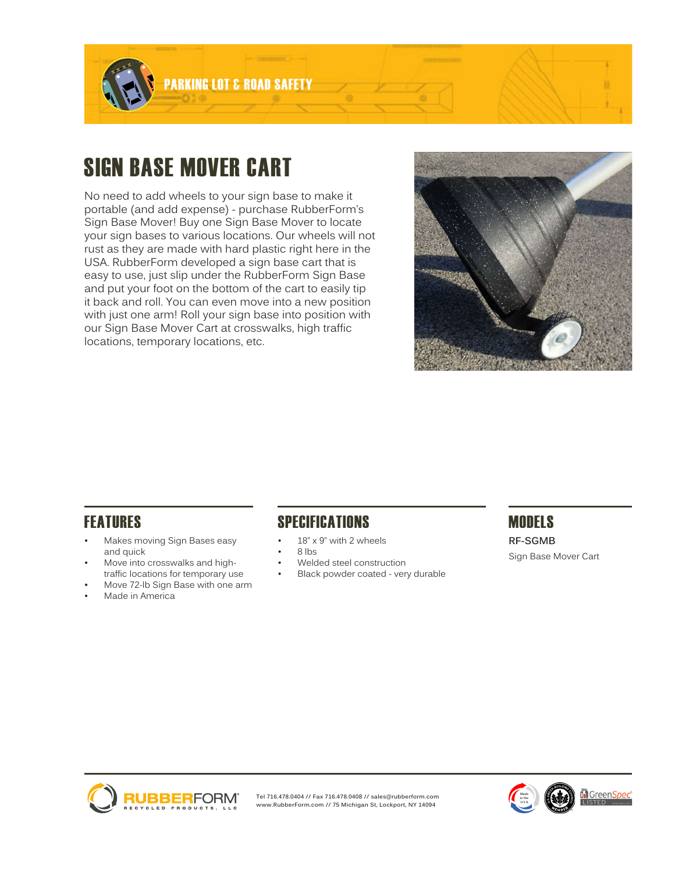

# SIGN BASE MOVER CART

No need to add wheels to your sign base to make it portable (and add expense) - purchase RubberForm's Sign Base Mover! Buy one Sign Base Mover to locate your sign bases to various locations. Our wheels will not rust as they are made with hard plastic right here in the USA. RubberForm developed a sign base cart that is easy to use, just slip under the RubberForm Sign Base and put your foot on the bottom of the cart to easily tip it back and roll. You can even move into a new position with just one arm! Roll your sign base into position with our Sign Base Mover Cart at crosswalks, high traffic locations, temporary locations, etc.



- Makes moving Sign Bases easy and quick
- Move into crosswalks and hightraffic locations for temporary use
- Move 72-lb Sign Base with one arm
- Made in America

## FEATURES SPECIFICATIONS MODELS

- 18" x 9" with 2 wheels
- 8 lbs
- Welded steel construction
- Black powder coated very durable

**RF-SGMB** Sign Base Mover Cart



**Tel 716.478.0404 // Fax 716.478.0408 // sales@rubberform.com www.RubberForm.com // 75 Michigan St, Lockport, NY 14094**